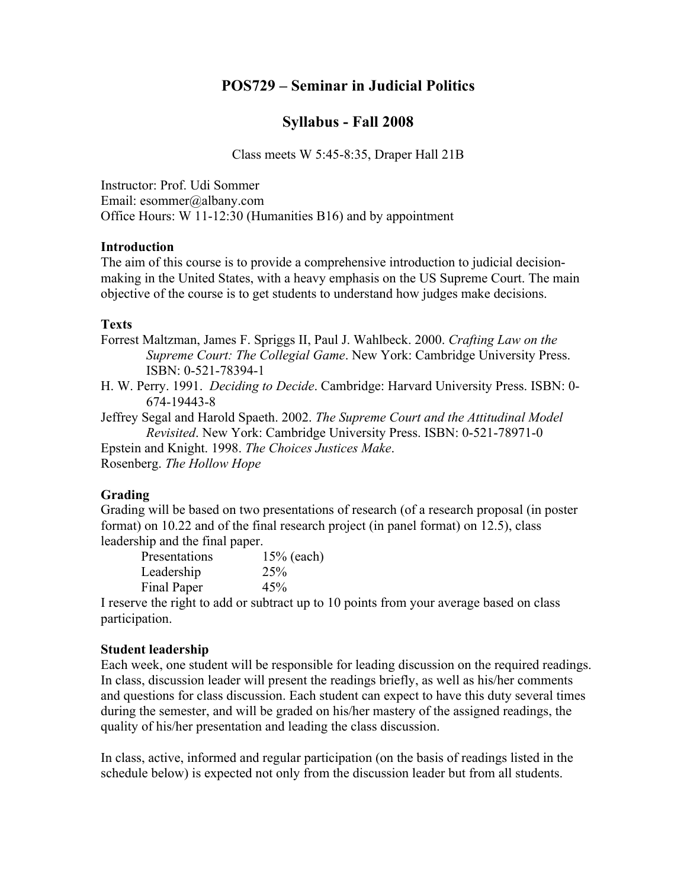# **POS729 – Seminar in Judicial Politics**

# **Syllabus - Fall 2008**

Class meets W 5:45-8:35, Draper Hall 21B

Instructor: Prof. Udi Sommer Email: esommer@albany.com Office Hours: W 11-12:30 (Humanities B16) and by appointment

## **Introduction**

The aim of this course is to provide a comprehensive introduction to judicial decisionmaking in the United States, with a heavy emphasis on the US Supreme Court. The main objective of the course is to get students to understand how judges make decisions.

## **Texts**

Forrest Maltzman, James F. Spriggs II, Paul J. Wahlbeck. 2000. *Crafting Law on the Supreme Court: The Collegial Game*. New York: Cambridge University Press. ISBN: 0-521-78394-1

H. W. Perry. 1991. *Deciding to Decide*. Cambridge: Harvard University Press. ISBN: 0- 674-19443-8

Jeffrey Segal and Harold Spaeth. 2002. *The Supreme Court and the Attitudinal Model Revisited*. New York: Cambridge University Press. ISBN: 0-521-78971-0

Epstein and Knight. 1998. *The Choices Justices Make*.

Rosenberg. *The Hollow Hope*

#### **Grading**

Grading will be based on two presentations of research (of a research proposal (in poster format) on 10.22 and of the final research project (in panel format) on 12.5), class leadership and the final paper.

| Presentations | 15% (each)      |
|---------------|-----------------|
| Leadership    | 25 <sup>%</sup> |
| Final Paper   | 45%             |

I reserve the right to add or subtract up to 10 points from your average based on class participation.

#### **Student leadership**

Each week, one student will be responsible for leading discussion on the required readings. In class, discussion leader will present the readings briefly, as well as his/her comments and questions for class discussion. Each student can expect to have this duty several times during the semester, and will be graded on his/her mastery of the assigned readings, the quality of his/her presentation and leading the class discussion.

In class, active, informed and regular participation (on the basis of readings listed in the schedule below) is expected not only from the discussion leader but from all students.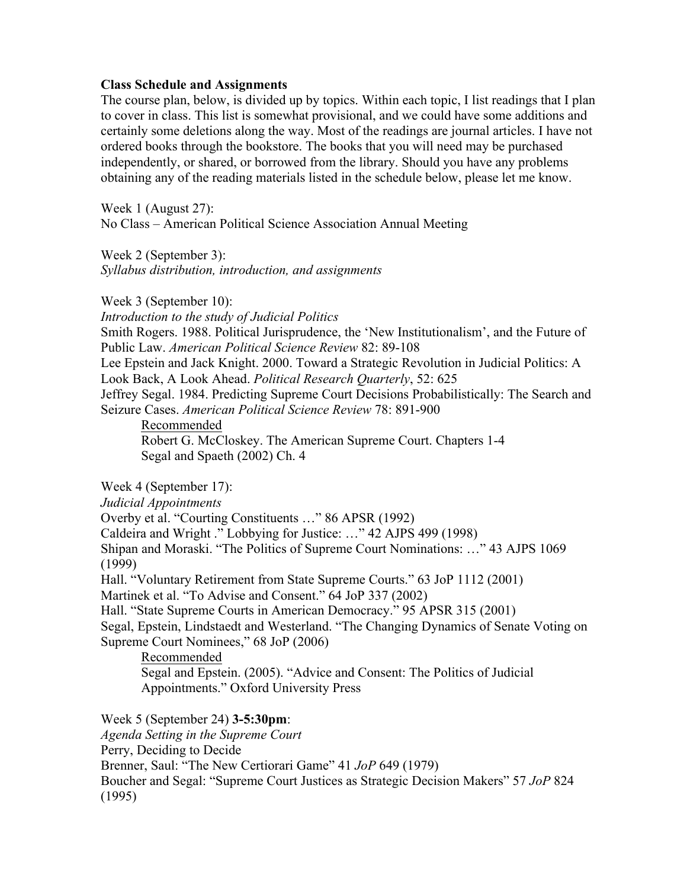#### **Class Schedule and Assignments**

The course plan, below, is divided up by topics. Within each topic, I list readings that I plan to cover in class. This list is somewhat provisional, and we could have some additions and certainly some deletions along the way. Most of the readings are journal articles. I have not ordered books through the bookstore. The books that you will need may be purchased independently, or shared, or borrowed from the library. Should you have any problems obtaining any of the reading materials listed in the schedule below, please let me know.

Week 1 (August 27): No Class – American Political Science Association Annual Meeting

Week 2 (September 3): *Syllabus distribution, introduction, and assignments* 

Week 3 (September 10):

*Introduction to the study of Judicial Politics* Smith Rogers. 1988. Political Jurisprudence, the 'New Institutionalism', and the Future of Public Law. *American Political Science Review* 82: 89-108 Lee Epstein and Jack Knight. 2000. Toward a Strategic Revolution in Judicial Politics: A Look Back, A Look Ahead. *Political Research Quarterly*, 52: 625 Jeffrey Segal. 1984. Predicting Supreme Court Decisions Probabilistically: The Search and Seizure Cases. *American Political Science Review* 78: 891-900

Recommended Robert G. McCloskey. The American Supreme Court. Chapters 1-4 Segal and Spaeth (2002) Ch. 4

Week 4 (September 17):

*Judicial Appointments*

Overby et al. "Courting Constituents …" 86 APSR (1992)

Caldeira and Wright ." Lobbying for Justice: …" 42 AJPS 499 (1998)

Shipan and Moraski. "The Politics of Supreme Court Nominations: …" 43 AJPS 1069 (1999)

Hall. "Voluntary Retirement from State Supreme Courts." 63 JoP 1112 (2001)

Martinek et al. "To Advise and Consent." 64 JoP 337 (2002)

Hall. "State Supreme Courts in American Democracy." 95 APSR 315 (2001)

Segal, Epstein, Lindstaedt and Westerland. "The Changing Dynamics of Senate Voting on Supreme Court Nominees," 68 JoP (2006)

Recommended

Segal and Epstein. (2005). "Advice and Consent: The Politics of Judicial Appointments." Oxford University Press

Week 5 (September 24) **3-5:30pm**: *Agenda Setting in the Supreme Court* Perry, Deciding to Decide Brenner, Saul: "The New Certiorari Game" 41 *JoP* 649 (1979) Boucher and Segal: "Supreme Court Justices as Strategic Decision Makers" 57 *JoP* 824 (1995)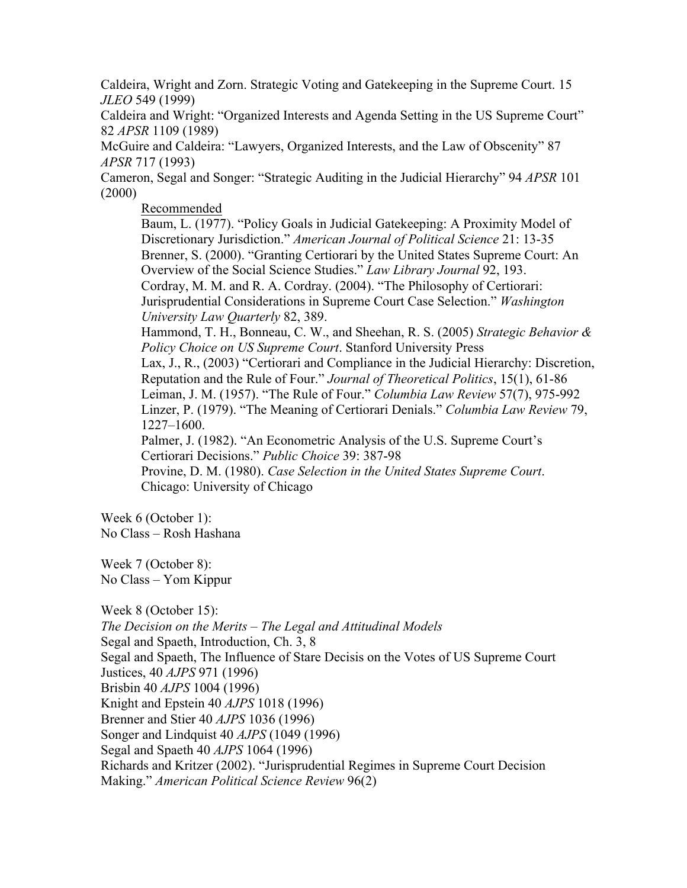Caldeira, Wright and Zorn. Strategic Voting and Gatekeeping in the Supreme Court. 15 *JLEO* 549 (1999)

Caldeira and Wright: "Organized Interests and Agenda Setting in the US Supreme Court" 82 *APSR* 1109 (1989)

McGuire and Caldeira: "Lawyers, Organized Interests, and the Law of Obscenity" 87 *APSR* 717 (1993)

Cameron, Segal and Songer: "Strategic Auditing in the Judicial Hierarchy" 94 *APSR* 101 (2000)

Recommended

Baum, L. (1977). "Policy Goals in Judicial Gatekeeping: A Proximity Model of Discretionary Jurisdiction." *American Journal of Political Science* 21: 13-35 Brenner, S. (2000). "Granting Certiorari by the United States Supreme Court: An Overview of the Social Science Studies." *Law Library Journal* 92, 193. Cordray, M. M. and R. A. Cordray. (2004). "The Philosophy of Certiorari: Jurisprudential Considerations in Supreme Court Case Selection." *Washington University Law Quarterly* 82, 389.

Hammond, T. H., Bonneau, C. W., and Sheehan, R. S. (2005) *Strategic Behavior & Policy Choice on US Supreme Court*. Stanford University Press

Lax, J., R., (2003) "Certiorari and Compliance in the Judicial Hierarchy: Discretion, Reputation and the Rule of Four." *Journal of Theoretical Politics*, 15(1), 61-86 Leiman, J. M. (1957). "The Rule of Four." *Columbia Law Review* 57(7), 975-992 Linzer, P. (1979). "The Meaning of Certiorari Denials." *Columbia Law Review* 79, 1227–1600.

Palmer, J. (1982). "An Econometric Analysis of the U.S. Supreme Court's Certiorari Decisions." *Public Choice* 39: 387-98

Provine, D. M. (1980). *Case Selection in the United States Supreme Court*. Chicago: University of Chicago

Week 6 (October 1): No Class – Rosh Hashana

Week 7 (October 8): No Class – Yom Kippur

Week 8 (October 15): *The Decision on the Merits – The Legal and Attitudinal Models* Segal and Spaeth, Introduction, Ch. 3, 8 Segal and Spaeth, The Influence of Stare Decisis on the Votes of US Supreme Court Justices, 40 *AJPS* 971 (1996) Brisbin 40 *AJPS* 1004 (1996) Knight and Epstein 40 *AJPS* 1018 (1996) Brenner and Stier 40 *AJPS* 1036 (1996) Songer and Lindquist 40 *AJPS* (1049 (1996) Segal and Spaeth 40 *AJPS* 1064 (1996) Richards and Kritzer (2002). "Jurisprudential Regimes in Supreme Court Decision Making." *American Political Science Review* 96(2)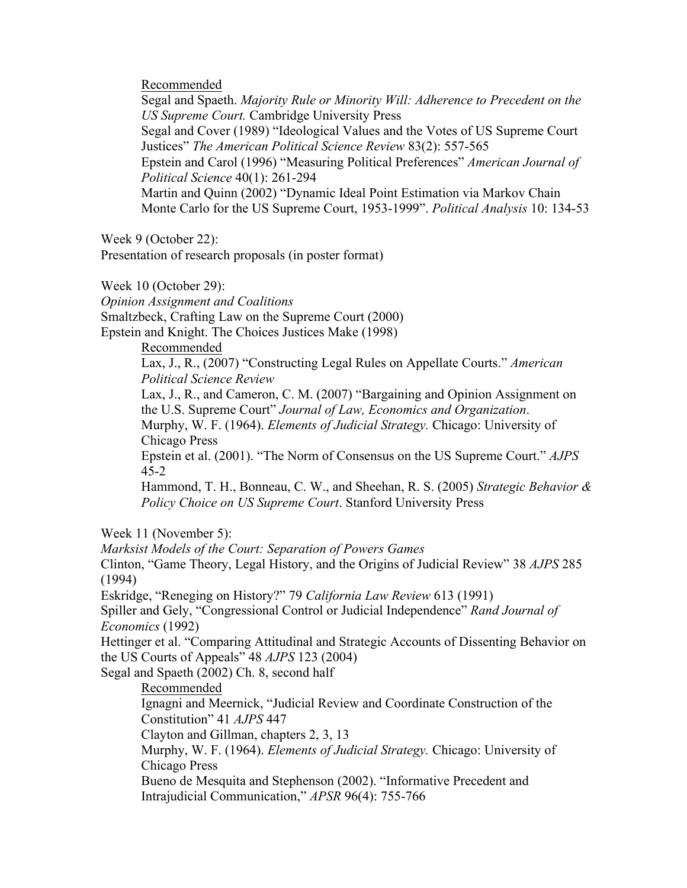Recommended

Segal and Spaeth. *Majority Rule or Minority Will: Adherence to Precedent on the US Supreme Court.* Cambridge University Press Segal and Cover (1989) "Ideological Values and the Votes of US Supreme Court Justices" *The American Political Science Review* 83(2): 557-565 Epstein and Carol (1996) "Measuring Political Preferences" *American Journal of Political Science* 40(1): 261-294 Martin and Quinn (2002) "Dynamic Ideal Point Estimation via Markov Chain Monte Carlo for the US Supreme Court, 1953-1999". *Political Analysis* 10: 134-53

Week 9 (October 22):

Presentation of research proposals (in poster format)

Week 10 (October 29):

*Opinion Assignment and Coalitions*

Smaltzbeck, Crafting Law on the Supreme Court (2000)

Epstein and Knight. The Choices Justices Make (1998)

Recommended

Lax, J., R., (2007) "Constructing Legal Rules on Appellate Courts." *American Political Science Review*

Lax, J., R., and Cameron, C. M. (2007) "Bargaining and Opinion Assignment on the U.S. Supreme Court" *Journal of Law, Economics and Organization*.

Murphy, W. F. (1964). *Elements of Judicial Strategy.* Chicago: University of Chicago Press

Epstein et al. (2001). "The Norm of Consensus on the US Supreme Court." *AJPS* 45-2

Hammond, T. H., Bonneau, C. W., and Sheehan, R. S. (2005) *Strategic Behavior & Policy Choice on US Supreme Court*. Stanford University Press

Week 11 (November 5):

*Marksist Models of the Court: Separation of Powers Games* Clinton, "Game Theory, Legal History, and the Origins of Judicial Review" 38 *AJPS* 285 (1994) Eskridge, "Reneging on History?" 79 *California Law Review* 613 (1991) Spiller and Gely, "Congressional Control or Judicial Independence" *Rand Journal of Economics* (1992) Hettinger et al. "Comparing Attitudinal and Strategic Accounts of Dissenting Behavior on the US Courts of Appeals" 48 *AJPS* 123 (2004) Segal and Spaeth (2002) Ch. 8, second half Recommended Ignagni and Meernick, "Judicial Review and Coordinate Construction of the Constitution" 41 *AJPS* 447 Clayton and Gillman, chapters 2, 3, 13 Murphy, W. F. (1964). *Elements of Judicial Strategy.* Chicago: University of Chicago Press Bueno de Mesquita and Stephenson (2002). "Informative Precedent and Intrajudicial Communication," *APSR* 96(4): 755-766